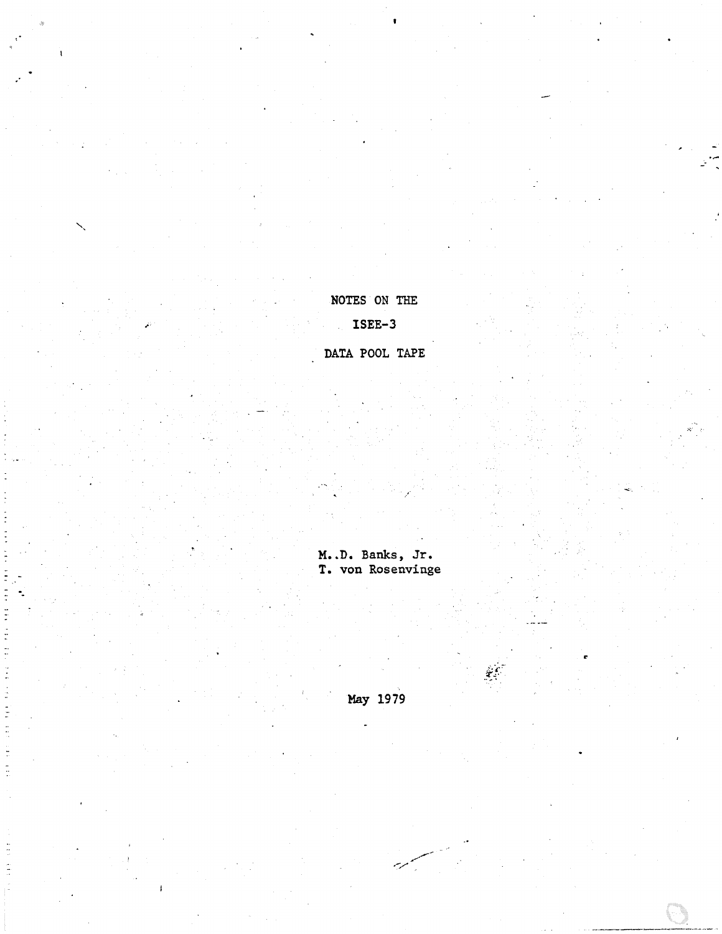May 1979

M..D. Banks, Jr.<br>T. von Rosenvinge

DATA POOL TAPE

 $ISEE-3$ 

NOTES ON THE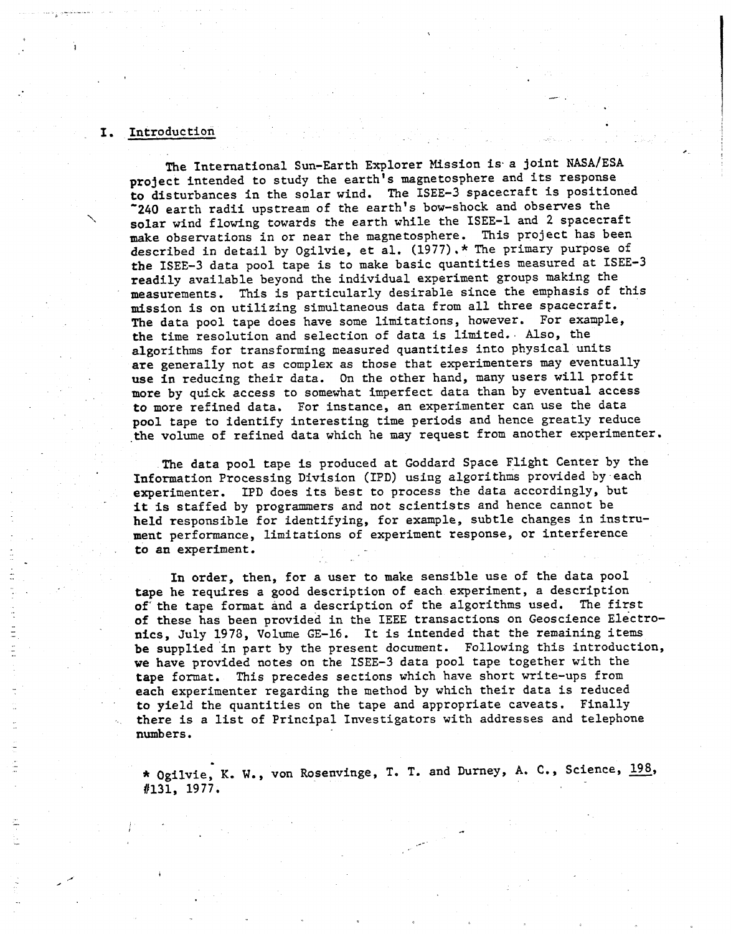# I. Introduction

**I** 

-.

.-

*I* 

The International Sun-Earth Explorer Mission is. a joint **NASA/ESA**  project intended to study the earth's magnetosphere and its response to disturbances in the solar wind. The ISEE-3 spacecraft is positioned *'240* earth radii upstream of the earth's bow-shock and observes the ' solar wind flowing towards the earth while the ISEE-1 and **2** spacecraft **make** observations in or near the magnetosphere. This project has been described in detail by Ogilvie, et al. **(1977),\*** The primary purpose of *the* ISEE-3 data pool tape is to make basic quantities measured at **ISEE-3**  readily available beyond the individual experiment groups **making** the measurements. This is particularly desirable since the emphasis of this mission is on utilizing simultaneous data from all three spacecraft. The data pool tape does have some limitations, however. For example, the time resolution and selection of data is limited.. *Also,* the algorithms for transforming measured quantities into physical units are generally not as complex as those that experimenters may eventually **use** in reducing their data. **On** the other hand, many users will profit more by quick access to somewhat imperfect data than by eventual access to more refined data. For instance, an experimenter can use the data **pool** tape to identify interesting time periods and hence greatly reduce .the volume of refined data which he nay request from another experimenter.

-.

The data pool tape is produced at Goddard Space Flight Center by the Information Processing Division (IPD) using algorithms provided by each experimenter. IPD does its best to process the data accordingly, but it **is** staffed by programmers and *not* scientists and hence cannot be held responsible for identifying, for example, subtle changes in instrument performance, limitations of experiment response, **or** interference to **an** experiment.

In order, then, for a user to make sensible use of the data pool tape he requires a good description of each experiment, a description of the tape format and a description of the algorithms used. The first of these has been provided in the IEEE transactions on Geoscience Electro**nics,** July 1978, Volume GE-16. It is intended that the remaining items **be** supplied 'in part by the present document. Following this introduction, **we** have provided notes on the ISEE-3 data pool tape together with the tape format. This precedes sections which have short write-ups from each experimenter regarding the method by which their data is reduced to yield the quantities on the tape and appropriate caveats. Finally there is a list of Principal Investigators with addresses and telephone numbers.

\* Ogilvie, **K. W.,** von Rosenvinge, **T. T.** and Durney, **A.** C., Science, 198, 8131, **1977.**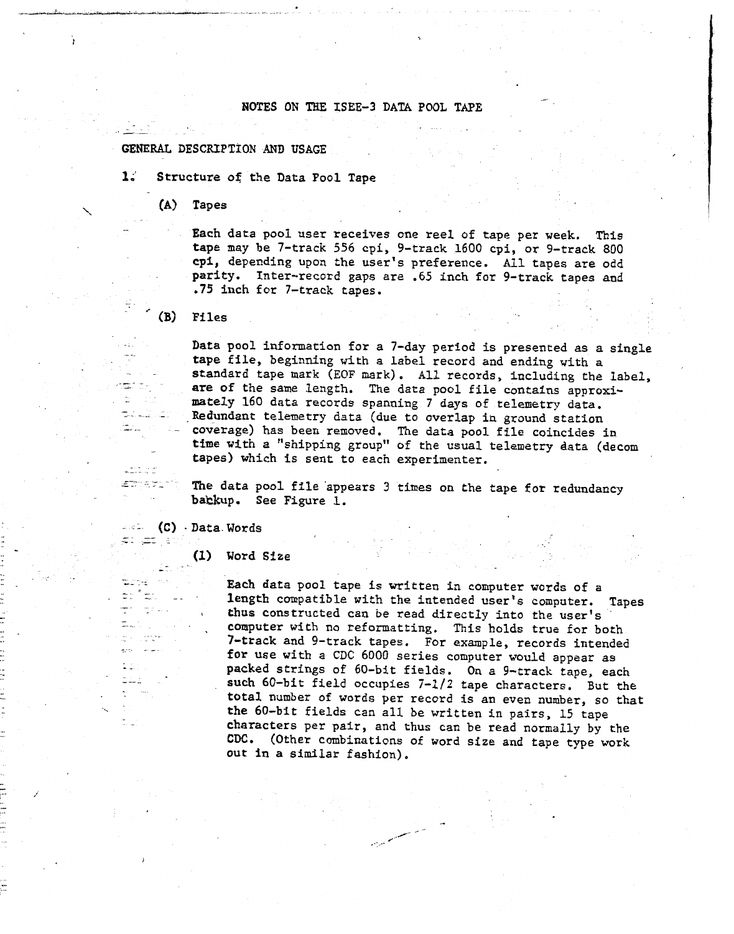## NOTES ON THE ISEE-3 DATA POOL TAPE

## GENERAL DESCRIPTION AND USAGE

 $\mathbf{1}$ . **1.'** Structure **of:** the Data Pool Tape

**GENERAL** DESCRIPTION AND USAGE

(A) Tapes<br>Each data pool user receives one reel of tape per week. This<br>tape may be 7-track 556 cpi, 9-track 1600 cpi, or 9-track 800 cpi, depending upon the user's preference. All tapes are odd parity. Inter-record gaps are .65 inch for 9-track tapes and .75 inch for 7-track tapes.

**.75** inch for 7-track tapes. \_\_ . -' \* **(B)** Files

> Data pool information for a 7-day period is presented as a single tape file, beginning with a label record and ending with a standard tape mark (EOF mark). All records, including the label, are of the same length. The data pool file contains approximately 160 data records spanning 7 days of telemetry data. Redundant telemetry data (due to overlap in ground station coverage) has been removed. The data pool file coincides in time with a "shipping group" of the usual telemetry data (decom tapes) which is sent to each experimenter.

tapes) which is sent to each experimenter.<br>
The data pool file appears 3 times on the the data position of the data can the tape for redundancy bakkup, See Figure 1.

(C) · Data. Words<br>  $=$   $\frac{(-1)^n}{2}$  ...

". . - - \_\_ \_\_ - . ..

tiche) ಕಾಗಿದ್ದು  $\mathbb{Z}^n \to \mathbb{R}$ 

÷.

 $\ddot{1}$ 

Word Size

Each data pool tape is written in computer words of a<br>length compatible with the intended user's computer. Tapes thus constructed can be read directly into the user's computer with no reformatting. This holds true for both 7-track and 9-track tapes. For example, records intended for use with a CDC 6000 series computer would appear as packed strings of 60-bit fields. On a 9-track tape, each such 60-bit field occupies  $7-1/2$  tape characters. But the total number of words per record is an even number, so that the 60-bit fields can all be written in pairs, 15 tape characters per pair, and thus can be read normally by the CDC. (Other combinations of word size and tape type work **COCO.** (CONCEDENTATIONS OF WORD SIZE and tape type work<br>**t** in a similar fashion). o in a similar fashion),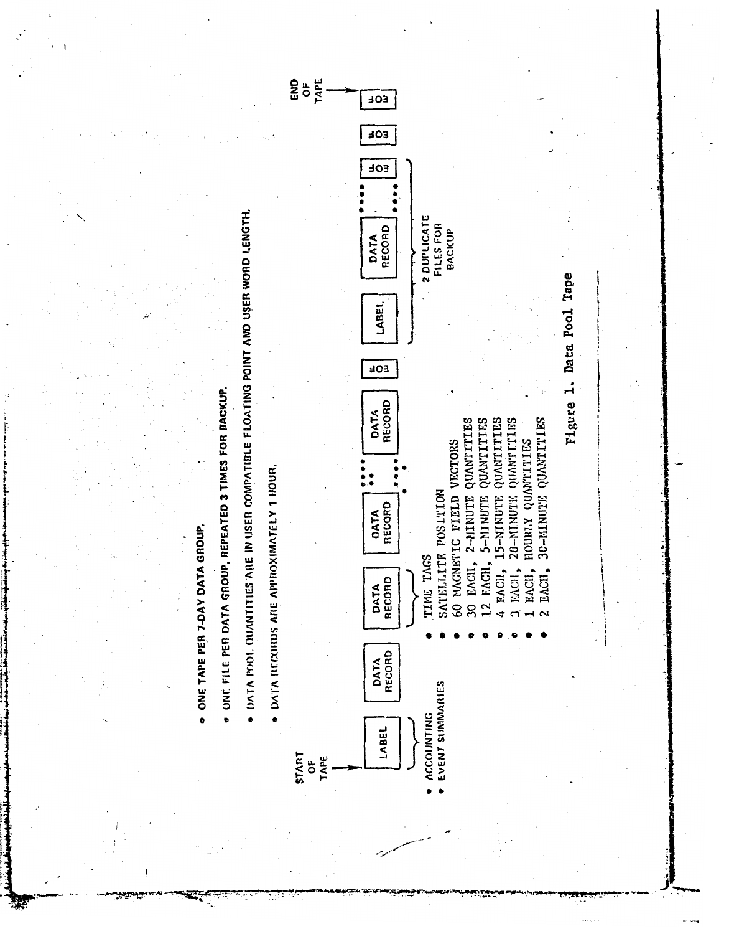

邀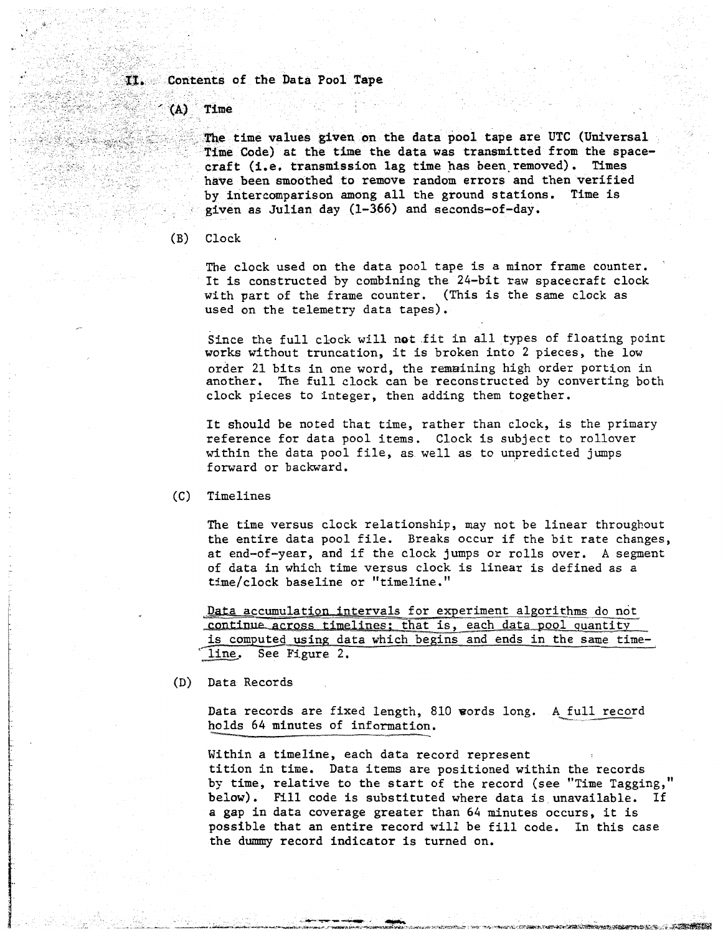## II. Contents of the Data Pool Tape

 $(A)$ Time

> The time values given on the data pool tape are UTC (Universal Time Code) at the time the data was transmitted from the spacecraft (i.e. transmission lag time has been removed). Times have been smoothed to remove random errors and then verified by intercomparison among all the ground stations. Time is given as Julian day (1-366) and seconds-of-day.

(B) Clock

The clock used on the data pool tape is a minor frame counter. . It is constructed by combining the 24-bit raw spacecraft clock with part of the frame counter. (This is the same clock as used on the telemetry data tapes).

Since the full clock will not .fit in **all** types of floating point works wfthout truncation, it is broken into **2** pieces, the **low**  order 21 bits in one word, the remaining high order portion in another. The full clock can be reconstructed by converting both clock pieces to integer, then adding them together.

It should be noted that time, rather than clock, is the primary reference for data pool items. Clock is subject to rollover within the data pool file, as well as to unpredicted jumps forward or backward.

(C) Timelines

The time versus clock relationship, may not be linear throughout the entire data pool file. Breaks occur if the bit rate changes, at end-of-year, and if the clock jumps or rolls over. **A** segment of data in which time versus clock is linear is defined as a time/clock baseline or "timeline."

Data accumulation intervals for experiment algorithms do not continue across timelines; that is, each data pool quantity is computed using data which begins and ends in the same timeline. See Figure 2.

(D) Data Records

Data records are fixed length, 810 words long. A <u>full reco</u>rd holds 64 minutes of information.

Within a timeline, each data record represent tition in time. Data items are positioned within the records by time, relative to the start of the record (see "Time Tagging," below). Fill code is substituted where data is unavailable. If **<sup>a</sup>**gap in data coverage greater than *64* minutes occurs, it is possible that an entire record will be fill code. In this case the **durmny** record indicator is turned on.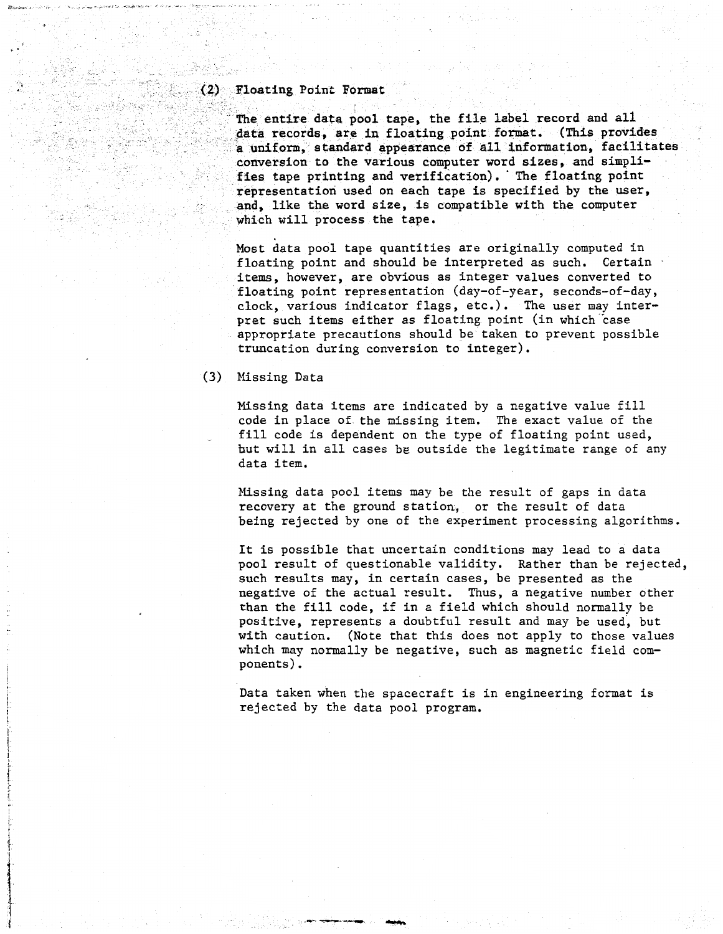#### Floating Point Format  $(2)$

The entire data pool tape, the file label record and all data records. are in floating point format. (This provides a uniform, standard appearance of all information, facilitates conversion to the various computer word sizes, and simplifies tape printing and verification). The floating point representation used on each tape is specified by the user, and, like the word size, is compatible with the computer which will process the tape.

Most data pool tape quantities are originally computed in floating point and should be interpreted as such. Certain items, however, are obvious as integer values converted to floating point representation (day-of-year, seconds-of-day, clock, various indicator flags, etc.). The user may interpret such items either as floating point (in which case appropriate precautions should be taken to prevent possible truncation during conversion to integer).

**(3)** Missing Data

Missing data items are indicated by a negative value fill code in place of the missing item. The exact value of the fill code is dependent on the type of floating point used, but will in all cases **be** outside the legitimate range of any data item.

Missing data pool items may be the result of gaps in data recovery at the ground station. or the result of data being rejected by one of the experiment processing algorithms.

It is possible that uncertain conditions may lead to a data pool result of questionable validity. Rather than be rejected, such results may, in certain cases, be presented as the negative of the actual result. Thus, a negative number other than the fill code, if in a field which should normally be positive, represents a doubtful result and may be used, but with caution. (Note that this does not apply to those values which may normally be negative, such as magnetic field com-ponents) .

Data taken when the spacecraft is in engineering format is rejected by the data pool program.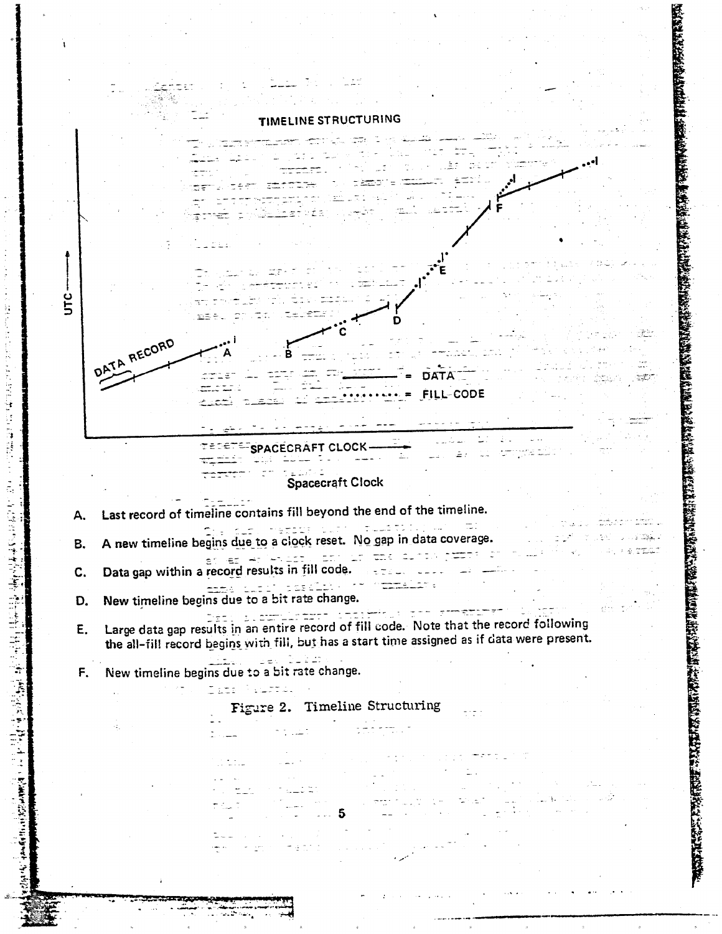

THE PAID OF

Ŕ B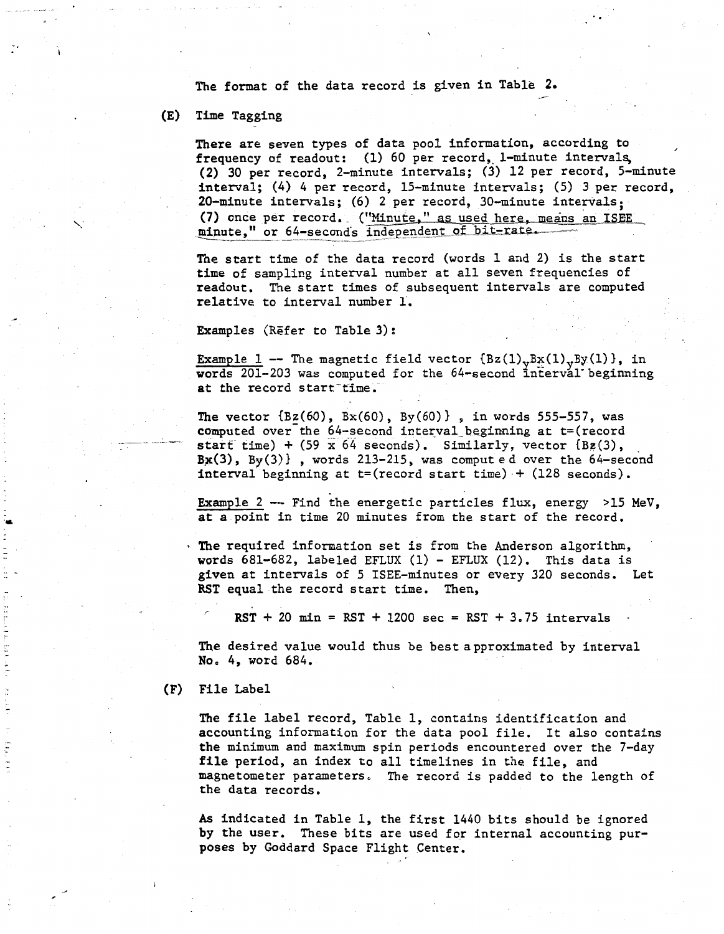The format of the data record is given in Table **2.** 

## (E) Time Tagging

.... **I** -

**JE literate** 

'\

There are seven types of data pool information, according to frequency of readout: (1) 60 per record, 1-minute intervals, (2) **30** per record, 2-minute intervals; (3) 12 per record, 5-minute interval; (4) 4 per record, 15-minute intervals; (5) 3 per record, 20-minute intervals; (6) 2 per record, 30-minute intervals; (7) once per record. ("Minute," as used here, means an ISEE minute," or 64-seconds inde

-.

The start time of the data record (words 1 and 2) is the start time of sampling interval number at all seven frequencies of readout. The start times of subsequent intervals are computed relative to interval number 1'.

Examples (Refer to Table 3):

Example 1 -- The magnetic field vector  $\{Bz(1),Bx(1),By(1)\}\$ , in words 201-203 was computed for the 64-second interval beginning at the record start time.  $-1$ 

The vector  $\{Bz(60), Bx(60), By(60)\}\;$ , in words 555-557, was computed over the 64-second interval beginning at t=(record start time)  $+$  (59 *x* 64 seconds). Similarly, vector {Bg(3), **Bx(3),** By(3)) , words 213-215, was computed over the 64-second interval beginning at  $t=(record start time) + (128 seconds)$ .

Example 2  $--$  Find the energetic particles flux, energy >15 MeV, **at** a point in time 20 minutes from the start of the record.

- **The** required information set is from the Anderson algorithm, words 681-682, labeled **EFLUX** (1) - EFLUX (12). This data is **given** at intervals of 5 ISEE-minutes or every 320 seconds. Let **RST** equal the record start time. Then,

 $RST + 20$  min =  $RST + 1200$  sec =  $RST + 3.75$  intervals

The desired value would thus be best approximated by interval **No,** *4,* word 684.

### **(F)** File Label

The **file** label record, Table 1, contains identification and accounting information for the data pool file. It also contains **the** minimum and maximum spin periods encountered over the 7-day **file** period, an index to all timelines in the file, and magnetometer parameters, The record is padded to the length of the data records.

**As** indicated in Table 1, the first 1440 bits should be ignored by the user. These bits are used for internal accounting purposes by Goddard Space Flight Center.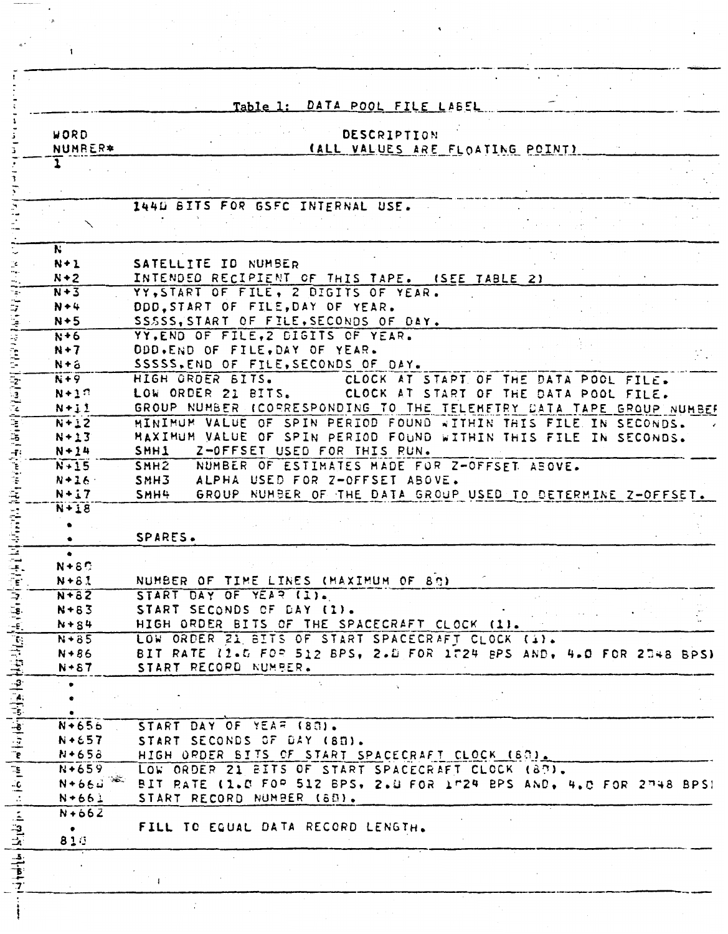|                                                                                                                                                                                                                                                                               |                           | Table 1: DATA POOL FILE LABEL                                                                                                      |
|-------------------------------------------------------------------------------------------------------------------------------------------------------------------------------------------------------------------------------------------------------------------------------|---------------------------|------------------------------------------------------------------------------------------------------------------------------------|
|                                                                                                                                                                                                                                                                               |                           |                                                                                                                                    |
|                                                                                                                                                                                                                                                                               | WORD<br><b>NUMRER*</b>    | DESCRIPTION<br><u>CALL VALUES ARE FLOATING POINTS</u>                                                                              |
|                                                                                                                                                                                                                                                                               |                           |                                                                                                                                    |
|                                                                                                                                                                                                                                                                               |                           |                                                                                                                                    |
|                                                                                                                                                                                                                                                                               |                           |                                                                                                                                    |
|                                                                                                                                                                                                                                                                               |                           | 1440 BITS FOR GSFC INTERNAL USE.                                                                                                   |
|                                                                                                                                                                                                                                                                               |                           |                                                                                                                                    |
|                                                                                                                                                                                                                                                                               | N                         |                                                                                                                                    |
|                                                                                                                                                                                                                                                                               | $N+1$                     | SATELLITE ID NUMBER                                                                                                                |
|                                                                                                                                                                                                                                                                               | $N+2$                     | INTENDED RECIPIENT OF THIS TAPE. (SEE TABLE 2)                                                                                     |
|                                                                                                                                                                                                                                                                               | $N + 3$                   | YY, START OF FILE, 2 DIGITS OF YEAR.                                                                                               |
|                                                                                                                                                                                                                                                                               | $N + 4$                   | DDD, START OF FILE, DAY OF YEAR.                                                                                                   |
|                                                                                                                                                                                                                                                                               | $N+5$<br>$N+6$            | SSSSS, START OF FILE, SECONDS OF DAY.<br>YY.END OF FILE.2 DIGITS OF YEAR.                                                          |
|                                                                                                                                                                                                                                                                               | $N+7$                     | ODD.END OF FILE, DAY OF YEAR.                                                                                                      |
|                                                                                                                                                                                                                                                                               | N+a                       | SSSSS, END OF FILE, SECONDS OF DAY.                                                                                                |
|                                                                                                                                                                                                                                                                               | $N+9$                     | HIGH GRDER BITS.<br>CLOCK AT START OF THE DATA POOL FILE.                                                                          |
|                                                                                                                                                                                                                                                                               | $N+1$ <sup>2</sup>        | LOW ORDER 21 BITS.<br>CLOCK AT START OF THE DATA POOL FILE.                                                                        |
|                                                                                                                                                                                                                                                                               | $N + 11$                  | GROUP NUMBER (CORRESPONDING TO THE TELEMETRY DATA TAPE GROUP NUMBER                                                                |
|                                                                                                                                                                                                                                                                               | $N+12$<br>$N + 13$        | MINIMUM VALUE OF SPIN PERIOD FOUND WITHIN THIS FILE IN SECONDS.<br>MAXIMUM VALUE OF SPIN PERIOD FOUND WITHIN THIS FILE IN SECONDS. |
|                                                                                                                                                                                                                                                                               | $N + 14$                  | SMH1<br>Z-OFFSET USED FOR THIS RUN.                                                                                                |
| ひょうじゅん こうこうこうこうこう ポジャンド こうこう                                                                                                                                                                                                                                                  | $N+15$                    | SMH <sub>2</sub><br>NUMBER OF ESTIMATES MADE FOR Z-OFFSET ABOVE.                                                                   |
|                                                                                                                                                                                                                                                                               | $N + 16$                  | SMH3<br>ALPHA USED FOR Z-OFFSET ABOVE.                                                                                             |
|                                                                                                                                                                                                                                                                               | $N+17$                    | <b>SMH4</b><br>GROUP NUMBER OF THE DATA GROUP USED TO DETERMINE Z-OFFSET.                                                          |
|                                                                                                                                                                                                                                                                               | $N+18$                    |                                                                                                                                    |
| $\frac{1}{2}$                                                                                                                                                                                                                                                                 |                           | SPARES.                                                                                                                            |
|                                                                                                                                                                                                                                                                               |                           |                                                                                                                                    |
|                                                                                                                                                                                                                                                                               | $N + 8$                   |                                                                                                                                    |
|                                                                                                                                                                                                                                                                               | $N + 8.3$                 | NUMBER OF TIME LINES (MAXIMUM OF 80)                                                                                               |
|                                                                                                                                                                                                                                                                               | $N + 82$                  | START DAY OF YEAR (1).                                                                                                             |
|                                                                                                                                                                                                                                                                               | $N + 83$<br>$N + 84$      | START SECONDS OF DAY (1).<br>HIGH ORDER BITS OF THE SPACECRAFT CLOCK (1).                                                          |
|                                                                                                                                                                                                                                                                               | $N*85$                    | LOW ORDER 21 BITS OF START SPACECRAFT CLOCK (1).                                                                                   |
|                                                                                                                                                                                                                                                                               | $N+86$                    | BIT RATE (1.5 FOR 512 BPS, 2.8 FOR 1724 BPS AND, 4.0 FOR 2348 BPS)                                                                 |
|                                                                                                                                                                                                                                                                               | $N + 87$                  | START RECORD NUMBER.                                                                                                               |
|                                                                                                                                                                                                                                                                               |                           |                                                                                                                                    |
|                                                                                                                                                                                                                                                                               |                           |                                                                                                                                    |
|                                                                                                                                                                                                                                                                               | $N + 656$                 | START DAY OF YEAR (83).                                                                                                            |
|                                                                                                                                                                                                                                                                               | $N + 657$                 | START SECONDS OF DAY (80).                                                                                                         |
|                                                                                                                                                                                                                                                                               | $N + 653$                 | HIGH ORDER BITS OF START SPACECRAFT CLOCK (80).                                                                                    |
|                                                                                                                                                                                                                                                                               | $N + 659$                 | LOW ORDER 21 BITS OF START SPACECRAFT CLOCK (87).                                                                                  |
| $\frac{1}{2}$ , $\frac{1}{2}$ , $\frac{1}{2}$ , $\frac{1}{2}$ , $\frac{1}{2}$ , $\frac{1}{2}$ , $\frac{1}{2}$ , $\frac{1}{2}$ , $\frac{1}{2}$ , $\frac{1}{2}$ , $\frac{1}{2}$ , $\frac{1}{2}$ , $\frac{1}{2}$ , $\frac{1}{2}$ , $\frac{1}{2}$ , $\frac{1}{2}$ , $\frac{1}{2}$ | $\mathbf{R}$<br>$N + 664$ | BIT RATE (1.0 FOR 512 BPS, 2.0 FOR 1"24 BPS AND, 4.0 FOR 2748 BPS)                                                                 |
|                                                                                                                                                                                                                                                                               | $N + 661$                 | START RECORD NUMBER (88).                                                                                                          |
|                                                                                                                                                                                                                                                                               | $N + 66Z$                 | FILL TO EQUAL DATA RECORD LENGTH.                                                                                                  |
| $\frac{1}{2}$                                                                                                                                                                                                                                                                 | 810                       |                                                                                                                                    |
|                                                                                                                                                                                                                                                                               |                           |                                                                                                                                    |
|                                                                                                                                                                                                                                                                               |                           |                                                                                                                                    |
|                                                                                                                                                                                                                                                                               |                           |                                                                                                                                    |

 $\mathbb{P}^1$ 

j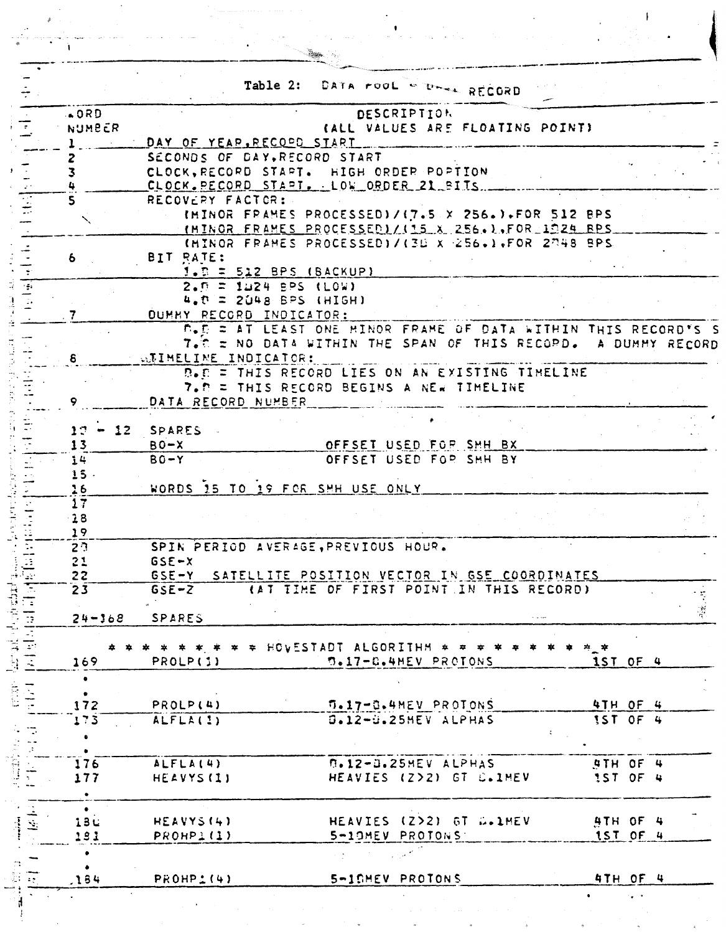|                         |             |                                                    | Table 2: DATA roof where RECORD                               |                         |  |                             |                        |               |
|-------------------------|-------------|----------------------------------------------------|---------------------------------------------------------------|-------------------------|--|-----------------------------|------------------------|---------------|
|                         | .000        |                                                    |                                                               | <b>DESCRIPTION</b>      |  |                             |                        |               |
| $\frac{1}{2}$           | NUMBER      |                                                    | (ALL VALUES ARE FLOATING POINT)                               |                         |  |                             |                        |               |
|                         |             | DAY OF YEAR, RECOPD START                          |                                                               |                         |  |                             |                        |               |
|                         |             | SECONDS OF DAY, RECORD START                       |                                                               |                         |  |                             |                        |               |
| $\overline{\mathbf{3}}$ |             | CLOCK, RECORD START. HIGH ORDER POPTION            |                                                               |                         |  |                             |                        |               |
|                         |             | CLOCK. PECORD START. LOW ORDER 21 BITS.            |                                                               |                         |  |                             |                        |               |
| S.                      |             | RECOVERY FACTOR:                                   |                                                               |                         |  |                             |                        |               |
|                         |             |                                                    | IMINOR FRAMES PROCESSED)/(7.5 X 256.).FOR 512 BPS             |                         |  |                             |                        |               |
|                         |             |                                                    | IMINOR FRAMES PROCESSED / (15 % 256.). FOR 1924 BPS           |                         |  |                             |                        |               |
|                         |             |                                                    | (MINOR FRAMES PROCESSED)/(30 x 256.).FOR 2748 BPS             |                         |  |                             |                        |               |
| 6.                      |             | BIT RATE:                                          |                                                               |                         |  |                             |                        |               |
|                         |             | $1.5 = 512$ BPS (BACKUP)                           |                                                               |                         |  |                             |                        |               |
| न्द                     |             | $2.5 = 1124$ BPS (LOW)                             |                                                               |                         |  |                             |                        |               |
|                         |             | $4.0 = 2048$ BPS (HIGH)                            |                                                               |                         |  |                             |                        |               |
| 7                       |             | OUMMY RECORD INDICATOR:                            |                                                               |                         |  |                             |                        |               |
|                         |             |                                                    | B.E = AT LEAST ONE MINOR FRAME OF DATA WITHIN THIS RECORD'S S |                         |  |                             |                        |               |
|                         |             |                                                    | 7. The NO DATA WITHIN THE SPAN OF THIS RECOPD. A DUMMY RECORD |                         |  |                             |                        |               |
| 8                       |             | WEIMELINE INDICATOR:                               |                                                               |                         |  |                             |                        |               |
|                         |             |                                                    |                                                               |                         |  |                             |                        |               |
|                         |             |                                                    | D.C = THIS RECORD LIES ON AN EXISTING TIMELINE                |                         |  |                             |                        |               |
|                         |             | DATA RECORD NUMBER                                 | 7. P = THIS RECORD BEGINS A NEW TIMELINE                      |                         |  |                             |                        |               |
| 9                       |             |                                                    |                                                               |                         |  |                             |                        |               |
|                         |             |                                                    |                                                               |                         |  |                             |                        |               |
|                         | $17 - 12$   | SPARES                                             |                                                               |                         |  |                             |                        |               |
| 13                      |             | $BO-X$                                             | OFFSET USED FOR SMH BX                                        |                         |  |                             |                        |               |
| 14                      |             | $BO - Y$                                           | OFFSET USED FOR SHH BY                                        |                         |  |                             |                        |               |
|                         | 15.         |                                                    |                                                               |                         |  |                             |                        |               |
| 16                      |             | WORDS 15 TO 19 FOR SHH USE ONLY                    |                                                               |                         |  |                             |                        |               |
| 17                      |             |                                                    |                                                               |                         |  |                             |                        |               |
| $-28$                   |             |                                                    |                                                               |                         |  |                             |                        |               |
| 19                      |             |                                                    |                                                               |                         |  |                             |                        |               |
| 2 <sup>2</sup>          |             | SPIN PERIOD AVERAGE, PREVIOUS HOUR.                |                                                               |                         |  |                             |                        |               |
| 21                      |             | $GSE-X$                                            |                                                               |                         |  |                             |                        |               |
| $\cdot$ . $\cdot$<br>22 |             | GSE-Y SATELLITE POSITION VECTOR IN GSE COORDINATES |                                                               |                         |  |                             |                        |               |
|                         | 23          | $GSE-Z$                                            | LAT TIME OF FIRST POINT IN THIS RECORD)                       |                         |  |                             |                        |               |
| 日本                      |             |                                                    |                                                               |                         |  |                             |                        | $\mathcal{L}$ |
|                         | $24 - 368$  | SPARES                                             |                                                               |                         |  |                             |                        |               |
|                         |             |                                                    |                                                               |                         |  |                             |                        |               |
|                         |             | $* * * * * *$ HOVESTADT ALGORITHM $* * * * *$      |                                                               |                         |  | $\frac{1}{2}$ $\frac{1}{2}$ |                        |               |
|                         | 169         | PROLP(1)                                           |                                                               | D.17-C.4MEV PROTONS     |  |                             | 1ST OF 4               |               |
|                         | ٠           |                                                    |                                                               |                         |  |                             |                        |               |
|                         |             |                                                    |                                                               |                         |  |                             |                        |               |
|                         | 172         | PROLP(4)                                           | <b>G.17-G.4MEV PROTONS</b>                                    |                         |  |                             | 4TH OF 4               |               |
|                         | 173         | ALFLA(1)                                           |                                                               | S.12-S.25HEV ALPHAS     |  |                             | IST OF 4               |               |
|                         |             |                                                    |                                                               |                         |  |                             |                        |               |
|                         |             |                                                    |                                                               |                         |  |                             |                        |               |
| i<br>U                  | 176         | ALFLA(4)                                           |                                                               | D.12-D.25MEV ALPHAS     |  |                             | STH OF 4               |               |
|                         | 177         | HEAVYS (1)                                         |                                                               | HEAVIES (2>2) GT C.1MEV |  |                             | 1ST OF 4               |               |
|                         | $\bullet$   |                                                    |                                                               |                         |  |                             |                        |               |
|                         | $\bullet$   |                                                    |                                                               |                         |  |                             |                        |               |
|                         |             |                                                    |                                                               |                         |  |                             | <b>4TH OF 4</b>        |               |
|                         |             | HEAVYS(4)                                          | HEAVIES (2>2) GT D.1MEV                                       |                         |  |                             |                        |               |
|                         | 13 L<br>181 | PROHP1(1)                                          |                                                               | 5-10MEV PROTONS         |  |                             | 1ST OF 4               |               |
|                         |             |                                                    |                                                               |                         |  |                             |                        |               |
| $\frac{1}{2}$           |             |                                                    |                                                               |                         |  |                             |                        |               |
|                         |             |                                                    |                                                               |                         |  |                             |                        |               |
| $\overline{\mathbb{R}}$ | .184        | PROHP1(4)                                          | 5-IGHEV PROTONS                                               |                         |  |                             | 4TH OF 4<br>$\sigma=2$ |               |

 $\bar{\omega}$ 

 $\overline{\phantom{a}}$ 

 $\frac{1}{\sqrt{2}}$ 

<u>Ar</u>

 $\hat{A}$ 

 $\ddot{\phantom{1}}$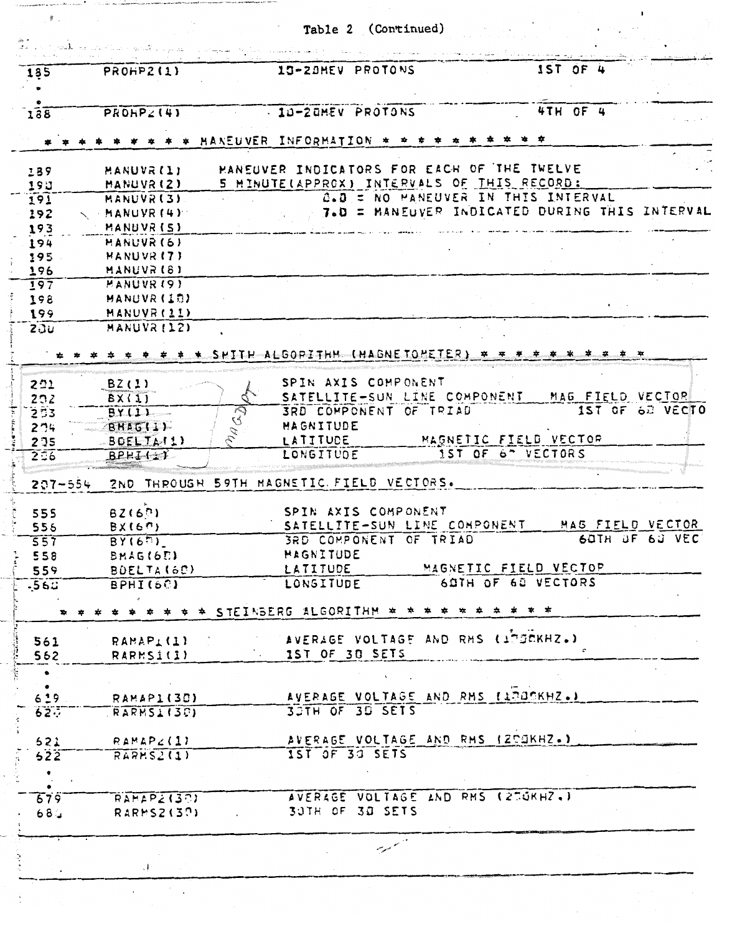|                        | <b>PROHP2(1)</b>           | 13-20MEV PROTONS                                            | IST OF 4                                      |
|------------------------|----------------------------|-------------------------------------------------------------|-----------------------------------------------|
| 135                    |                            |                                                             |                                               |
|                        |                            |                                                             |                                               |
| 188                    | PROHPZ(4)                  | - 10-20MEV PROTONS                                          | 4TH OF 4                                      |
|                        |                            | MANEUVER INFORMATION $*$ $*$ $*$                            | * *<br>≖                                      |
| 189                    | MANUVR (1)                 | HANEUVER INDICATORS FOR EACH OF THE TWELVE                  |                                               |
| 193                    | MANUVR(2)                  | 5 MINUTE(APPROX) INTERVALS OF THIS RECORD:                  |                                               |
| 191                    | MANUVR(3)                  | 0.0 = NO MANEUVER IN THIS INTERVAL                          |                                               |
| 192                    | MANUVR (4)                 |                                                             | 7.0 = MANEUVER INDICATED DURING THIS INTERVAL |
| 193                    | MANUVR (5)                 |                                                             |                                               |
| 194                    | MANUVR (6)                 |                                                             |                                               |
| 195                    | MANUVR <sub>(7)</sub>      |                                                             |                                               |
| 196                    | MANUVR (8)                 |                                                             |                                               |
| 197                    | MANUVR (9)                 |                                                             |                                               |
| 198                    | <b>HANUVR (10)</b>         |                                                             |                                               |
| 199<br>20u             | MANUVR (11)<br>MANUVR (12) |                                                             |                                               |
|                        |                            |                                                             |                                               |
|                        |                            | SHITH ALGOPITHM (MAGNE TOMETER)                             | * * * *                                       |
| 201                    | BZ(1)                      | SPIN AXIS COMPONENT                                         |                                               |
| 292                    | BX(1)                      | SATELLITE-SUN LINE COMPONENT                                | MAG FIELD VECTOR                              |
| 253                    | MAG2<br>BY(1)              | <b>3RD COMPONENT OF TRIAD</b>                               | 1ST OF 62 VECTO                               |
| 274                    | BHAGIL)                    | MAGNITUDE                                                   |                                               |
| 2 3 5                  | BOELTA(1)                  | LATITUDE                                                    | MAGNETIC FIELD VECTOR                         |
| 2.56                   | $BPEI+1$                   | LONGITUDE                                                   | 1ST OF 6" VECTORS                             |
| $207 - 554$            |                            | 2ND THROUGH 59TH MAGNETIC FIELD VECTORS.                    |                                               |
| 555                    | BZ(67)                     | SPIN AXIS COMPONENT                                         |                                               |
| 556                    | BX(61)                     | SATELLITE-SUN LINE COMPONENT                                | MAG FIELD VECTOR                              |
| 557                    | BY(60)                     | 3RD COMPONENT OF TRIAD                                      | 60TH OF 60 VEC                                |
| 558                    | BMAG(6D)                   | <b>HAGNITUDE</b>                                            |                                               |
| 559                    | BOELTA (60)                | LATITUDE                                                    | MAGNETIC FIELD VECTOP                         |
| $-561$                 | BPHI(6C)                   | LONGITUDE                                                   | 6STH OF 68 VECTORS                            |
|                        |                            | * * * * * * * * * STEINBERG ALGORITHM * * * * * * * * * * * |                                               |
| 561                    | RAMAP <u>i</u> (1)         | AVERAGE VOLTAGE AND RMS (1750KHZ.)                          |                                               |
| 562                    | RARMSI(I)                  | 1ST OF 3D SETS                                              |                                               |
| $\bullet$              |                            |                                                             |                                               |
| $\bullet$<br>6.19      | RAMAPI(30)                 | AVERAGE VOLTAGE AND RMS (13036KHZ.)                         |                                               |
| 62.7                   | RARMS1(30)                 | 3STH OF 3S SETS                                             |                                               |
|                        |                            |                                                             |                                               |
|                        | $521$ $RAMAP4(1)$          | AVERAGE VOLTAGE AND RMS (2DOKHZ.)                           |                                               |
|                        | RARS2(1)                   | 1ST OF 30 SETS                                              |                                               |
| 522                    |                            |                                                             |                                               |
| $\bullet$              |                            |                                                             |                                               |
|                        |                            |                                                             |                                               |
| 679<br>68 <sub>4</sub> | RAMAP2(30)<br>RARMS2(30)   | AVERAGE VOLTAGE AND RMS (27GKHZ.)<br>30TH OF 30 SETS        |                                               |
|                        |                            |                                                             |                                               |

 $\frac{1}{2}$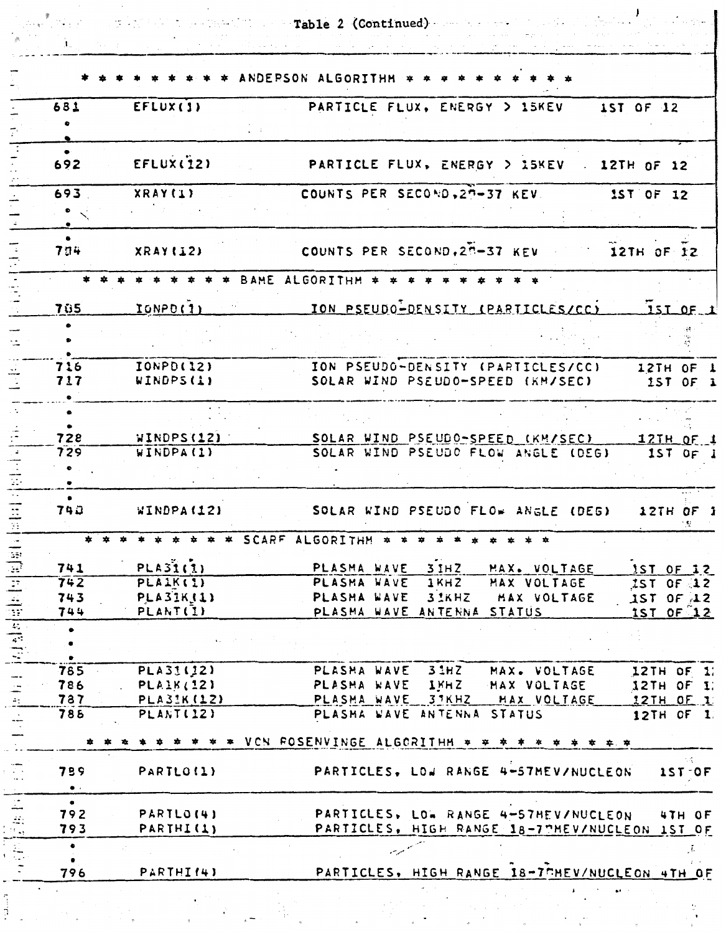$\overbrace{B}$  (Continued)

 $\tilde{\gamma}_1$  is a spectral

| 681                        | EFLUX(1)                       | PARTICLE FLUX, ENERGY > 15KEV 1ST OF 12                                                                 |
|----------------------------|--------------------------------|---------------------------------------------------------------------------------------------------------|
|                            |                                |                                                                                                         |
|                            |                                |                                                                                                         |
| 692                        | EFLUX(I2)                      | PARTICLE FLUX, ENERGY > 15KEV . 12TH OF 12                                                              |
| 693                        | XRAY(1)                        | COUNTS PER SECOND, 27-37 KEV<br>1ST OF 12                                                               |
|                            |                                |                                                                                                         |
| $\bullet$<br>704           | XRAY(I12)                      | COUNTS PER SECOND, 2N-37 KEV 12TH OF 12                                                                 |
|                            |                                | * BAME ALGORITHM * * * * * * * * * *                                                                    |
| 705                        | IONPD(1)                       | TON PSEUDO-DENSITY (PARTICLES/CC) 15T OF 1                                                              |
| $\bullet$                  |                                |                                                                                                         |
|                            |                                |                                                                                                         |
|                            | <b>IONPD(12)</b>               |                                                                                                         |
| 716<br>717                 | WINDPS (1)                     | ION PSEUDO-DENSITY (PARTICLES/CC) 12TH OF 1<br>SOLAR WIND PSEUDO-SPEED (KM/SEC)<br>1ST OF 1             |
|                            |                                |                                                                                                         |
| $\bullet$                  |                                |                                                                                                         |
| 728                        | WINDPS(12)                     |                                                                                                         |
| 729                        | WINDPA(1)                      | SOLAR WIND PSEUDO-SPEED (KM/SEC)<br>12TH OF 1<br>SOLAR WIND PSEUDO FLOW ANGLE (DEG)<br>IST OF 1         |
|                            |                                |                                                                                                         |
| $\bullet$<br>740           | WINDPA(12)                     | SOLAR WIND PSEUDO FLOW ANGLE (DEG)<br>12TH OF 1                                                         |
|                            |                                | * * * * * * SCARF ALGORITHM * * * * * * * * * *                                                         |
|                            |                                |                                                                                                         |
| 741                        | PLA31(1)                       | PLASMA WAVE 31HZ<br>MAX. VOLTAGE<br>1ST OF 12                                                           |
| 742<br>743                 | PLAIK(1)<br><b>PLA31K(1)</b>   | PLASMA WAVE<br>1 <sub>KH</sub> 2<br>MAX VOLTAGE<br>$1ST$ OF $12$<br>PLASHA WAVE<br>32KHZ<br>MAX VOLTAGE |
| 744                        | PLANT(I)                       | 1ST OF 12<br>PLASMA WAVE ANTENNA STATUS<br>1ST OF 12                                                    |
| $\bullet$                  |                                |                                                                                                         |
|                            |                                |                                                                                                         |
|                            |                                | 3.1HZ                                                                                                   |
| 785<br>786                 | PLA31(12)<br><b>PLAIK (12)</b> | PLASMA WAVE<br>MAX. VOLTAGE<br>12TH OF 1:<br>PLASMA WAVE<br>IKHZ<br>MAX VOLTAGE<br>12TH OF 1            |
| 787                        | PLA31K (12)                    | PLASMA WAVE 37KHZ<br>MAX VOLTAGE<br>12TH OF 1                                                           |
| 788                        | PLANT(12)                      | PLASMA WAVE ANTENNA STATUS<br>12TH OF 1                                                                 |
|                            |                                | * * * * * VCN ROSENVINGE ALGORITHM * *<br>* * * * *                                                     |
| 759                        | PARTLO(1)                      | PARTICLES, LOW RANGE 4-57MEV/NUCLEON<br>$15T-OF$                                                        |
| $\bullet\;$ .<br>$\bullet$ |                                |                                                                                                         |
| 792                        | PARTLO(4)                      | PARTICLES, LOW RANGE 4-57MEV/NUCLEON<br>4TH OF                                                          |
| 793                        | PARTHI(1)                      | PARTICLES, HIGH RANGE 18-7THEV/NUCLEON 1ST OF                                                           |
| $\bullet$                  |                                |                                                                                                         |
| 796                        | PARTHI(4)                      | PARTICLES, HIGH RANGE 18-7THEV/NUCLEON 4TH OF                                                           |
|                            |                                |                                                                                                         |